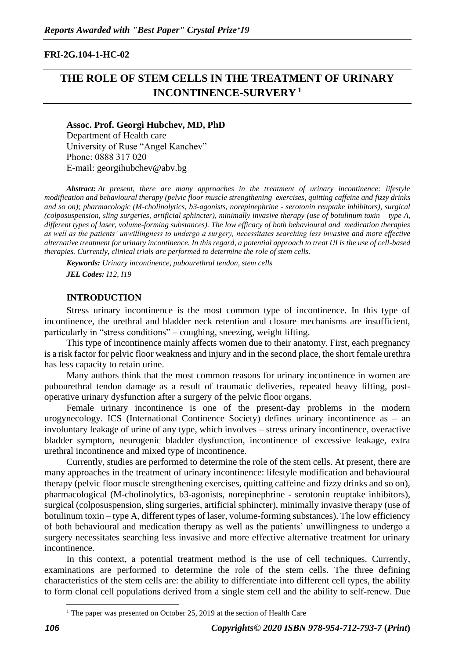## **FRI-2G.104-1-HC-02**

# **THE ROLE OF STEM CELLS IN THE TREATMENT OF URINARY INCONTINENCE-SURVERY <sup>1</sup>**

#### **Assoc. Prof. Georgi Hubchev, MD, PhD**

Department of Health care University of Ruse "Angel Kanchev" Phone: 0888 317 020 Е-mail: georgihubchev@abv.bg

*Abstract: At present, there are many approaches in the treatment of urinary incontinence: lifestyle modification and behavioural therapy (pelvic floor muscle strengthening exercises, quitting caffeine and fizzy drinks and so on); pharmacologic (M-cholinolytics, b3-agonists, norepinephrine - serotonin reuptake inhibitors), surgical (colposuspension, sling surgeries, artificial sphincter), minimally invasive therapy (use of botulinum toxin – type A, different types of laser, volume-forming substances). The low efficacy of both behavioural and medication therapies as well as the patients' unwillingness to undergo a surgery, necessitates searching less invasive and more effective alternative treatment for urinary incontinence. In this regard, a potential approach to treat UI is the use of cell-based therapies. Currently, clinical trials are performed to determine the role of stem cells.*

*Keywords: Urinary incontinence, pubourethral tendon, stem cells JEL Codes: I12, I19*

#### **INTRODUCTION**

Stress urinary incontinence is the most common type of incontinence. In this type of incontinence, the urethral and bladder neck retention and closure mechanisms are insufficient, particularly in "stress conditions" – coughing, sneezing, weight lifting.

This type of incontinence mainly affects women due to their anatomy. First, each pregnancy is a risk factor for pelvic floor weakness and injury and in the second place, the short female urethra has less capacity to retain urine.

Many authors think that the most common reasons for urinary incontinence in women are pubourethral tendon damage as a result of traumatic deliveries, repeated heavy lifting, postoperative urinary dysfunction after a surgery of the pelvic floor organs.

Female urinary incontinence is one of the present-day problems in the modern urogynecology. ICS (International Continence Society) defines urinary incontinence as – an involuntary leakage of urine of any type, which involves – stress urinary incontinence, overactive bladder symptom, neurogenic bladder dysfunction, incontinence of excessive leakage, extra urethral incontinence and mixed type of incontinence.

Currently, studies are performed to determine the role of the stem cells. At present, there are many approaches in the treatment of urinary incontinence: lifestyle modification and behavioural therapy (pelvic floor muscle strengthening exercises, quitting caffeine and fizzy drinks and so on), pharmacological (M-cholinolytics, b3-agonists, norepinephrine - serotonin reuptake inhibitors), surgical (colposuspension, sling surgeries, artificial sphincter), minimally invasive therapy (use of botulinum toxin – type A, different types of laser, volume-forming substances). The low efficiency of both behavioural and medication therapy as well as the patients' unwillingness to undergo a surgery necessitates searching less invasive and more effective alternative treatment for urinary incontinence.

In this context, a potential treatment method is the use of cell techniques. Currently, examinations are performed to determine the role of the stem cells. The three defining characteristics of the stem cells are: the ability to differentiate into different cell types, the ability to form clonal cell populations derived from a single stem cell and the ability to self-renew. Due

 $1$  The paper was presented on October 25, 2019 at the section of Health Care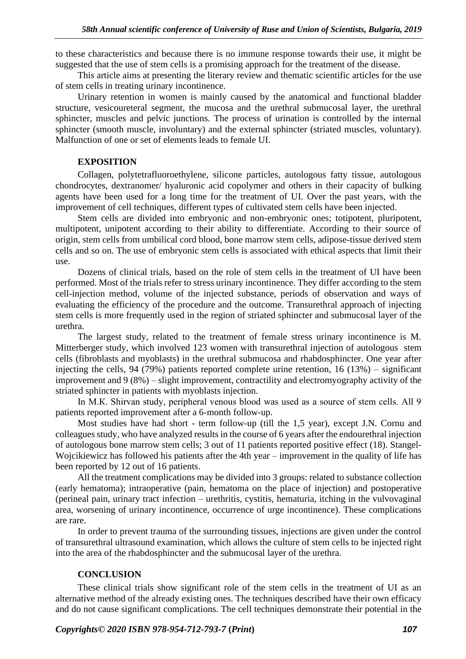to these characteristics and because there is no immune response towards their use, it might be suggested that the use of stem cells is a promising approach for the treatment of the disease.

This article aims at presenting the literary review and thematic scientific articles for the use of stem cells in treating urinary incontinence.

Urinary retention in women is mainly caused by the anatomical and functional bladder structure, vesicoureteral segment, the mucosa and the urethral submucosal layer, the urethral sphincter, muscles and pelvic junctions. The process of urination is controlled by the internal sphincter (smooth muscle, involuntary) and the external sphincter (striated muscles, voluntary). Malfunction of one or set of elements leads to female UI.

### **EXPOSITION**

Collagen, polytetrafluoroethylene, silicone particles, autologous fatty tissue, autologous chondrocytes, dextranomer/ hyaluronic acid copolymer and others in their capacity of bulking agents have been used for a long time for the treatment of UI. Over the past years, with the improvement of cell techniques, different types of cultivated stem cells have been injected.

Stem cells are divided into embryonic and non-embryonic ones; totipotent, pluripotent, multipotent, unipotent according to their ability to differentiate. According to their source of origin, stem cells from umbilical cord blood, bone marrow stem cells, adipose-tissue derived stem cells and so on. The use of embryonic stem cells is associated with ethical aspects that limit their use.

Dozens of clinical trials, based on the role of stem cells in the treatment of UI have been performed. Most of the trials refer to stress urinary incontinence. They differ according to the stem cell-injection method, volume of the injected substance, periods of observation and ways of evaluating the efficiency of the procedure and the outcome. Transurethral approach of injecting stem cells is more frequently used in the region of striated sphincter and submucosal layer of the urethra.

The largest study, related to the treatment of female stress urinary incontinence is M. Mitterberger study, which involved 123 women with transurethral injection of autologous stem cells (fibroblasts and myoblasts) in the urethral submucosa and rhabdosphincter. One year after injecting the cells, 94 (79%) patients reported complete urine retention, 16 (13%) – significant improvement and 9 (8%) – slight improvement, contractility and electromyography activity of the striated sphincter in patients with myoblasts injection.

In M.K. Shirvan study, peripheral venous blood was used as a source of stem cells. All 9 patients reported improvement after a 6-month follow-up.

Most studies have had short - term follow-up (till the 1,5 year), except J.N. Cornu and colleagues study, who have analyzed results in the course of 6 years after the endourethral injection of autologous bone marrow stem cells; 3 out of 11 patients reported positive effect (18). Stangel-Wojcikiewicz has followed his patients after the 4th year – improvement in the quality of life has been reported by 12 out of 16 patients.

All the treatment complications may be divided into 3 groups: related to substance collection (early hematoma); intraoperative (pain, hematoma on the place of injection) and postoperative (perineal pain, urinary tract infection – urethritis, cystitis, hematuria, itching in the vulvovaginal area, worsening of urinary incontinence, occurrence of urge incontinence). These complications are rare.

In order to prevent trauma of the surrounding tissues, injections are given under the control of transurethral ultrasound examination, which allows the culture of stem cells to be injected right into the area of the rhabdosphincter and the submucosal layer of the urethra.

# **CONCLUSION**

These clinical trials show significant role of the stem cells in the treatment of UI as an alternative method of the already existing ones. The techniques described have their own efficacy and do not cause significant complications. The cell techniques demonstrate their potential in the